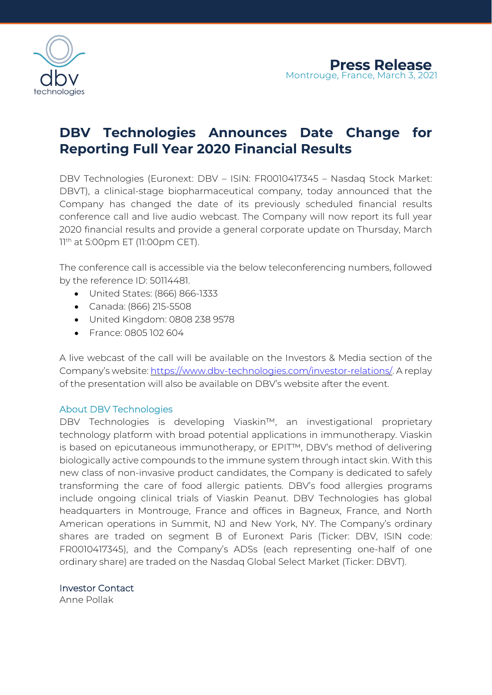

## **DBV Technologies Announces Date Change for Reporting Full Year 2020 Financial Results**

DBV Technologies (Euronext: DBV – ISIN: FR0010417345 – Nasdaq Stock Market: DBVT), a clinical-stage biopharmaceutical company, today announced that the Company has changed the date of its previously scheduled financial results conference call and live audio webcast. The Company will now report its full year 2020 financial results and provide a general corporate update on Thursday, March 11<sup>th</sup> at 5:00pm ET (11:00pm CET).

The conference call is accessible via the below teleconferencing numbers, followed by the reference ID: 50114481.

- United States: (866) 866-1333
- Canada: (866) 215-5508
- United Kingdom: 0808 238 9578
- France: 0805 102 604

A live webcast of the call will be available on the Investors & Media section of the Company's website: [https://www.dbv-technologies.com/investor-relations/.](https://www.dbv-technologies.com/investor-relations/) A replay of the presentation will also be available on DBV's website after the event.

## About DBV Technologies

DBV Technologies is developing Viaskin™, an investigational proprietary technology platform with broad potential applications in immunotherapy. Viaskin is based on epicutaneous immunotherapy, or EPIT™, DBV's method of delivering biologically active compounds to the immune system through intact skin. With this new class of non-invasive product candidates, the Company is dedicated to safely transforming the care of food allergic patients. DBV's food allergies programs include ongoing clinical trials of Viaskin Peanut. DBV Technologies has global headquarters in Montrouge, France and offices in Bagneux, France, and North American operations in Summit, NJ and New York, NY. The Company's ordinary shares are traded on segment B of Euronext Paris (Ticker: DBV, ISIN code: FR0010417345), and the Company's ADSs (each representing one-half of one ordinary share) are traded on the Nasdaq Global Select Market (Ticker: DBVT).

Investor Contact

Anne Pollak